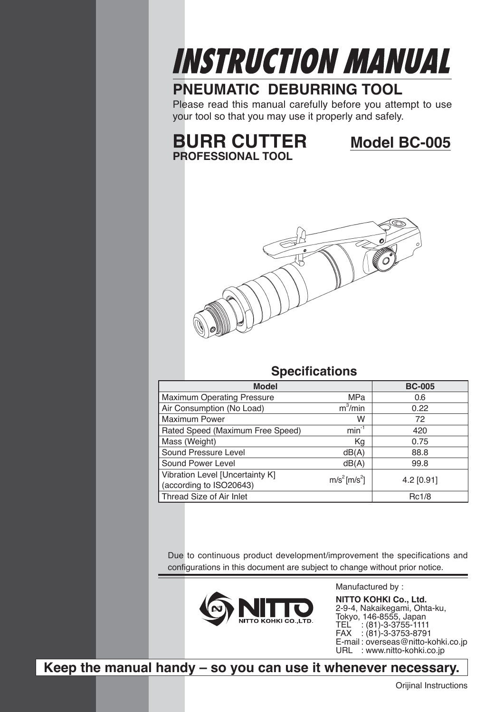

## **PNEUMATIC DEBURRING TOOL**

Please read this manual carefully before you attempt to use your tool so that you may use it properly and safely.

## **BURR CUTTER Model BC-005 PROFESSIONAL TOOL**



### **Specifications**

| <b>Model</b>                                               |                                      | <b>BC-005</b> |
|------------------------------------------------------------|--------------------------------------|---------------|
| <b>Maximum Operating Pressure</b>                          | <b>MPa</b>                           | 0.6           |
| Air Consumption (No Load)                                  | $m^3/m$ in                           | 0.22          |
| <b>Maximum Power</b>                                       | W                                    | 72            |
| Rated Speed (Maximum Free Speed)                           | $min^{-1}$                           | 420           |
| Mass (Weight)                                              | Kg                                   | 0.75          |
| Sound Pressure Level                                       | dB(A)                                | 88.8          |
| Sound Power Level                                          | dB(A)                                | 99.8          |
| Vibration Level [Uncertainty K]<br>(according to ISO20643) | m/s <sup>2</sup> [m/s <sup>2</sup> ] | 4.2 [0.91]    |
| Thread Size of Air Inlet                                   |                                      | Rc1/8         |

Due to continuous product development/improvement the specifications and configurations in this document are subject to change without prior notice.



Manufactured by : **NITTO KOHKI Co., Ltd.** 2-9-4, Nakaikegami, Ohta-ku, Tokyo, 146-8555, Japan TEL : (81)-3-3755-1111 FAX : (81)-3-3753-8791 E-mail: overseas@nitto-kohki.co.jp URL : www.nitto-kohki.co.jp

**Keep the manual handy – so you can use it whenever necessary.**

Orijinal Instructions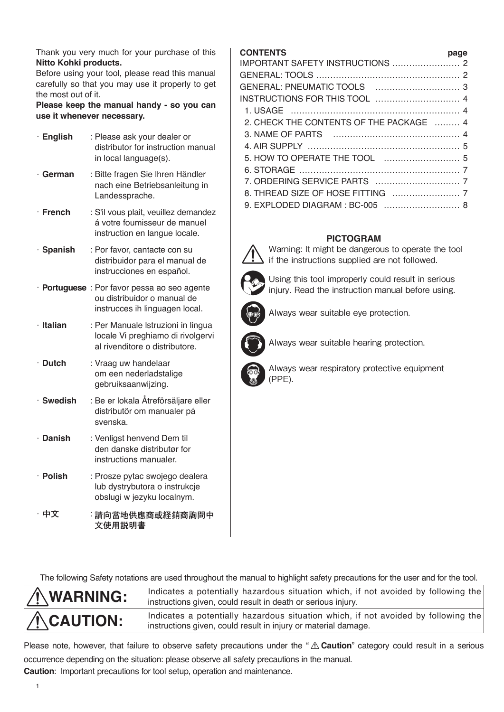Thank you very much for your purchase of this **Nitto Kohki products.**

Before using your tool, please read this manual carefully so that you may use it properly to get the most out of it.

**Please keep the manual handy - so you can use it whenever necessary.**

| · English       | : Please ask your dealer or<br>distributor for instruction manual<br>in local language(s).                    |
|-----------------|---------------------------------------------------------------------------------------------------------------|
| German          | : Bitte fragen Sie Ihren Händler<br>nach eine Betriebsanleitung in<br>Landessprache.                          |
| $\cdot$ French  | : S'il vous plait, veuillez demandez<br>á votre foumisseur de manuel<br>instruction en langue locale.         |
| · Spanish       | : Por favor, cantacte con su<br>distribuidor para el manual de<br>instrucciones en español.                   |
|                 | · Portuguese : Por favor pessa ao seo agente<br>ou distribuidor o manual de<br>instrucces ih linguagen local. |
| $\cdot$ Italian | : Per Manuale Istruzioni in lingua<br>locale Vi preghiamo di rivolgervi<br>al rivenditore o distributore.     |
| $\cdot$ Dutch   | : Vraag uw handelaar<br>om een nederladstalige<br>gebruiksaanwijzing.                                         |
| · Swedish       | : Be er lokala Åtreförsäljare eller<br>distributör om manualer pá<br>svenska.                                 |
| · Danish        | : Venligst henvend Dem til<br>den danske distributør for<br>instructions manualer.                            |
| · Polish        | : Prosze pytac swojego dealera<br>lub dystrybutora o instrukcje<br>obslugi w jezyku localnym.                 |
| 中文              | :請向當地供應商或経銷商詢問中<br>文使用説明書                                                                                     |

### **CONTENTS page**

| 2. CHECK THE CONTENTS OF THE PACKAGE  4 |  |
|-----------------------------------------|--|
|                                         |  |
|                                         |  |
|                                         |  |
|                                         |  |
|                                         |  |
|                                         |  |
| 9. EXPLODED DIAGRAM : BC-005  8         |  |

### **PICTOGRAM**



Warning: It might be dangerous to operate the tool if the instructions supplied are not followed.

Using this tool improperly could result in serious injury. Read the instruction manual before using.



Always wear suitable eye protection.



Always wear suitable hearing protection.



Always wear respiratory protective equipment (PPE).

The following Safety notations are used throughout the manual to highlight safety precautions for the user and for the tool.



**WARNING:** Indicates a potentially hazardous situation which, if not avoided by following the **WARNING:** instructions given, could result in death or serious injury.

**CAUTION:** Indicates a potentially hazardous situation which, if not avoided by following the interval of the interval of the state of the interval demander instructions given, could result in injury or material damage.

Please note, however, that failure to observe safety precautions under the "  $\triangle$  Caution" category could result in a serious occurrence depending on the situation: please observe all safety precautions in the manual.

**Caution**: Important precautions for tool setup, operation and maintenance.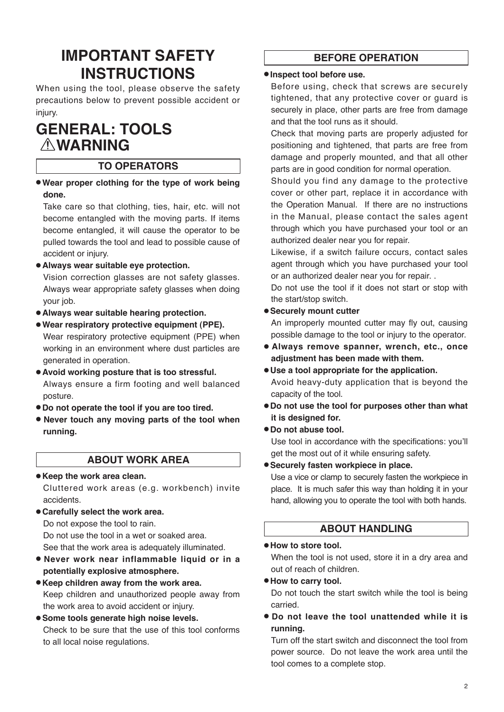# **IMPORTANT SAFETY INSTRUCTIONS**

When using the tool, please observe the safety precautions below to prevent possible accident or injury.

# **GENERAL: TOOLS WARNING**

### **TO OPERATORS**

● **Wear proper clothing for the type of work being done.**

Take care so that clothing, ties, hair, etc. will not become entangled with the moving parts. If items become entangled, it will cause the operator to be pulled towards the tool and lead to possible cause of accident or injury.

● **Always wear suitable eye protection.** 

Vision correction glasses are not safety glasses. Always wear appropriate safety glasses when doing your job.

- **Always wear suitable hearing protection.**
- **Wear respiratory protective equipment (PPE).**  Wear respiratory protective equipment (PPE) when working in an environment where dust particles are generated in operation.
- **Avoid working posture that is too stressful.**  Always ensure a firm footing and well balanced posture.
- **Do not operate the tool if you are too tired.**
- **Never touch any moving parts of the tool when running.**

### **ABOUT WORK AREA**

- **Keep the work area clean.** Cluttered work areas (e.g. workbench) invite accidents.
- **Carefully select the work area.**

Do not expose the tool to rain.

Do not use the tool in a wet or soaked area. See that the work area is adequately illuminated.

- **Never work near inflammable liquid or in a potentially explosive atmosphere.**
- **Keep children away from the work area.** Keep children and unauthorized people away from the work area to avoid accident or injury.
- **Some tools generate high noise levels.** Check to be sure that the use of this tool conforms to all local noise regulations.

### **BEFORE OPERATION**

### ● **Inspect tool before use.**

Before using, check that screws are securely tightened, that any protective cover or guard is securely in place, other parts are free from damage and that the tool runs as it should.

Check that moving parts are properly adjusted for positioning and tightened, that parts are free from damage and properly mounted, and that all other parts are in good condition for normal operation.

Should you find any damage to the protective cover or other part, replace it in accordance with the Operation Manual. If there are no instructions in the Manual, please contact the sales agent through which you have purchased your tool or an authorized dealer near you for repair.

Likewise, if a switch failure occurs, contact sales agent through which you have purchased your tool or an authorized dealer near you for repair. .

Do not use the tool if it does not start or stop with the start/stop switch.

### ● **Securely mount cutter**

An improperly mounted cutter may fly out, causing possible damage to the tool or injury to the operator.

- **Always remove spanner, wrench, etc., once adjustment has been made with them.**
- **Use a tool appropriate for the application.** Avoid heavy-duty application that is beyond the capacity of the tool.
- **Do not use the tool for purposes other than what it is designed for.**

### ● **Do not abuse tool.**

Use tool in accordance with the specifications: you'll get the most out of it while ensuring safety.

● **Securely fasten workpiece in place.**

Use a vice or clamp to securely fasten the workpiece in place. It is much safer this way than holding it in your hand, allowing you to operate the tool with both hands.

### **ABOUT HANDLING**

#### ● **How to store tool.**

When the tool is not used, store it in a dry area and out of reach of children.

#### ● **How to carry tool.**

Do not touch the start switch while the tool is being carried.

● **Do not leave the tool unattended while it is running.**

Turn off the start switch and disconnect the tool from power source. Do not leave the work area until the tool comes to a complete stop.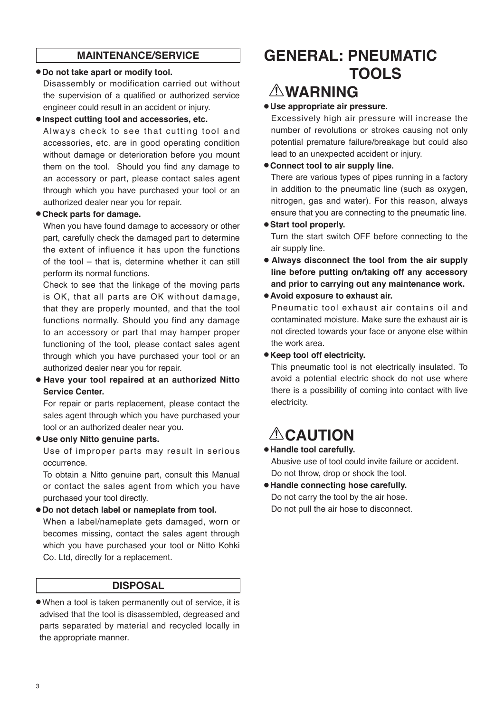### **MAINTENANCE/SERVICE**

### ● **Do not take apart or modify tool.**

Disassembly or modification carried out without the supervision of a qualified or authorized service engineer could result in an accident or injury.

#### ● **Inspect cutting tool and accessories, etc.**

Always check to see that cutting tool and accessories, etc. are in good operating condition without damage or deterioration before you mount them on the tool. Should you find any damage to an accessory or part, please contact sales agent through which you have purchased your tool or an authorized dealer near you for repair.

### ● **Check parts for damage.**

When you have found damage to accessory or other part, carefully check the damaged part to determine the extent of influence it has upon the functions of the tool – that is, determine whether it can still perform its normal functions.

Check to see that the linkage of the moving parts is OK, that all parts are OK without damage, that they are properly mounted, and that the tool functions normally. Should you find any damage to an accessory or part that may hamper proper functioning of the tool, please contact sales agent through which you have purchased your tool or an authorized dealer near you for repair.

● **Have your tool repaired at an authorized Nitto Service Center.** 

For repair or parts replacement, please contact the sales agent through which you have purchased your tool or an authorized dealer near you.

#### ● **Use only Nitto genuine parts.**

Use of improper parts may result in serious occurrence.

To obtain a Nitto genuine part, consult this Manual or contact the sales agent from which you have purchased your tool directly.

### ● **Do not detach label or nameplate from tool.**

When a label/nameplate gets damaged, worn or becomes missing, contact the sales agent through which you have purchased your tool or Nitto Kohki Co. Ltd, directly for a replacement.

### **DISPOSAL**

● When a tool is taken permanently out of service, it is advised that the tool is disassembled, degreased and parts separated by material and recycled locally in the appropriate manner.

# **GENERAL: PNEUMATIC TOOLS**

# **WARNING**

### ● **Use appropriate air pressure.**

Excessively high air pressure will increase the number of revolutions or strokes causing not only potential premature failure/breakage but could also lead to an unexpected accident or injury.

### ● **Connect tool to air supply line.**

There are various types of pipes running in a factory in addition to the pneumatic line (such as oxygen, nitrogen, gas and water). For this reason, always ensure that you are connecting to the pneumatic line.

### ● **Start tool properly.**

Turn the start switch OFF before connecting to the air supply line.

● **Always disconnect the tool from the air supply line before putting on/taking off any accessory and prior to carrying out any maintenance work.**

### ● **Avoid exposure to exhaust air.**

Pneumatic tool exhaust air contains oil and contaminated moisture. Make sure the exhaust air is not directed towards your face or anyone else within the work area.

#### ● **Keep tool off electricity.**

This pneumatic tool is not electrically insulated. To avoid a potential electric shock do not use where there is a possibility of coming into contact with live electricity.

# **ACAUTION**

### ● **Handle tool carefully.**

Abusive use of tool could invite failure or accident. Do not throw, drop or shock the tool.

● **Handle connecting hose carefully.** Do not carry the tool by the air hose. Do not pull the air hose to disconnect.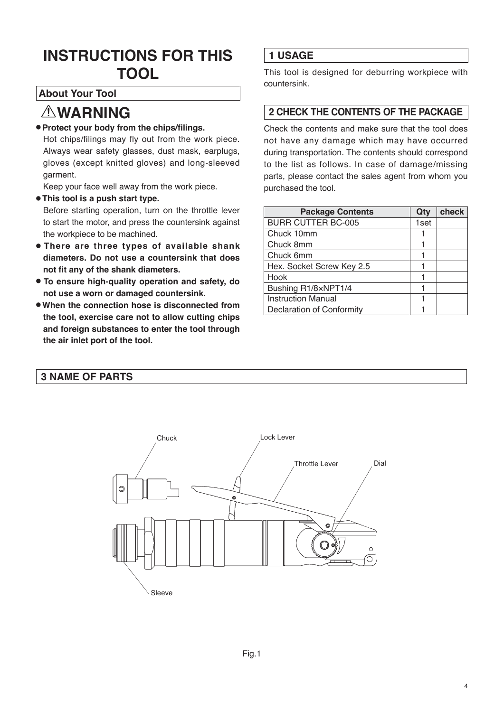# **INSTRUCTIONS FOR THIS TOOL**

### **About Your Tool**

## **WARNING**

### ● **Protect your body from the chips/filings.**

Hot chips/filings may fly out from the work piece. Always wear safety glasses, dust mask, earplugs, gloves (except knitted gloves) and long-sleeved garment.

Keep your face well away from the work piece.

● **This tool is a push start type.**

Before starting operation, turn on the throttle lever to start the motor, and press the countersink against the workpiece to be machined.

- **There are three types of available shank diameters. Do not use a countersink that does not fit any of the shank diameters.**
- **To ensure high-quality operation and safety, do not use a worn or damaged countersink.**
- **When the connection hose is disconnected from the tool, exercise care not to allow cutting chips and foreign substances to enter the tool through the air inlet port of the tool.**

### **1 USAGE**

This tool is designed for deburring workpiece with countersink.

### **2 CHECK THE CONTENTS OF THE PACKAGE**

Check the contents and make sure that the tool does not have any damage which may have occurred during transportation. The contents should correspond to the list as follows. In case of damage/missing parts, please contact the sales agent from whom you purchased the tool.

| <b>Package Contents</b>          | Qty  | check |
|----------------------------------|------|-------|
| <b>BURR CUTTER BC-005</b>        | 1set |       |
| Chuck 10mm                       |      |       |
| Chuck 8mm                        |      |       |
| Chuck 6mm                        |      |       |
| Hex. Socket Screw Key 2.5        |      |       |
| Hook                             |      |       |
| Bushing R1/8xNPT1/4              |      |       |
| <b>Instruction Manual</b>        |      |       |
| <b>Declaration of Conformity</b> |      |       |

### **3 NAME OF PARTS**

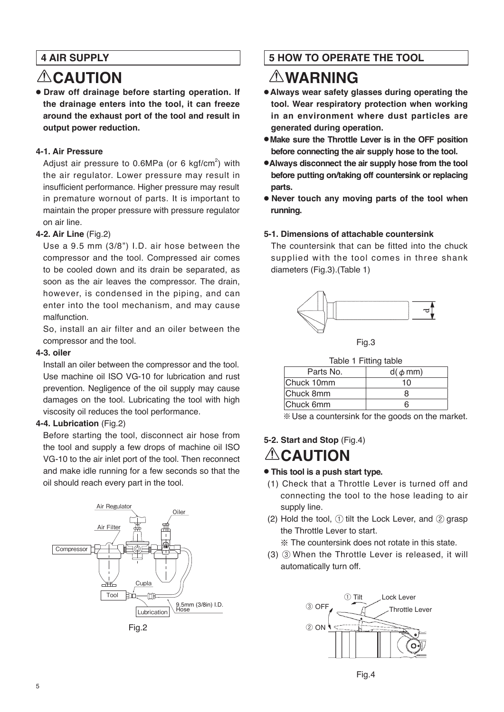### **4 AIR SUPPLY**

# **ACAUTION**

● **Draw off drainage before starting operation. If the drainage enters into the tool, it can freeze around the exhaust port of the tool and result in output power reduction.**

### **4-1. Air Pressure**

Adjust air pressure to  $0.6$ MPa (or 6 kgf/cm<sup>2</sup>) with the air regulator. Lower pressure may result in insufficient performance. Higher pressure may result in premature wornout of parts. It is important to maintain the proper pressure with pressure regulator on air line.

### **4-2. Air Line** (Fig.2)

Use a 9.5 mm (3/8") I.D. air hose between the compressor and the tool. Compressed air comes to be cooled down and its drain be separated, as soon as the air leaves the compressor. The drain, however, is condensed in the piping, and can enter into the tool mechanism, and may cause malfunction.

So, install an air filter and an oiler between the compressor and the tool.

#### **4-3. oiler**

Install an oiler between the compressor and the tool. Use machine oil ISO VG-10 for lubrication and rust prevention. Negligence of the oil supply may cause damages on the tool. Lubricating the tool with high viscosity oil reduces the tool performance.

### **4-4. Lubrication** (Fig.2)

Before starting the tool, disconnect air hose from the tool and supply a few drops of machine oil ISO VG-10 to the air inlet port of the tool. Then reconnect and make idle running for a few seconds so that the oil should reach every part in the tool.



Fig.2

### **5 HOW TO OPERATE THE TOOL**

## **WARNING**

- **Always wear safety glasses during operating the tool. Wear respiratory protection when working in an environment where dust particles are generated during operation.**
- **Make sure the Throttle Lever is in the OFF position before connecting the air supply hose to the tool.**
- ●**Always disconnect the air supply hose from the tool before putting on/taking off countersink or replacing parts.**
- **Never touch any moving parts of the tool when running.**

### **5-1. Dimensions of attachable countersink**

The countersink that can be fitted into the chuck supplied with the tool comes in three shank diameters (Fig.3).(Table 1)





| Table 1 Fitting table |
|-----------------------|
|                       |

| Parts No.  | $d(\phi \, mm)$ |
|------------|-----------------|
| Chuck 10mm | 10              |
| Chuck 8mm  | x               |
| Chuck 6mm  | h               |

※Use a countersink for the goods on the market.

## **5-2. Start and Stop** (Fig.4) **ALCAUTION**

### ● **This tool is a push start type.**

- (1) Check that a Throttle Lever is turned off and connecting the tool to the hose leading to air supply line.
- (2) Hold the tool,  $(1)$  tilt the Lock Lever, and  $(2)$  grasp the Throttle Lever to start.

※ The countersink does not rotate in this state.

(3) ③ When the Throttle Lever is released, it will automatically turn off.

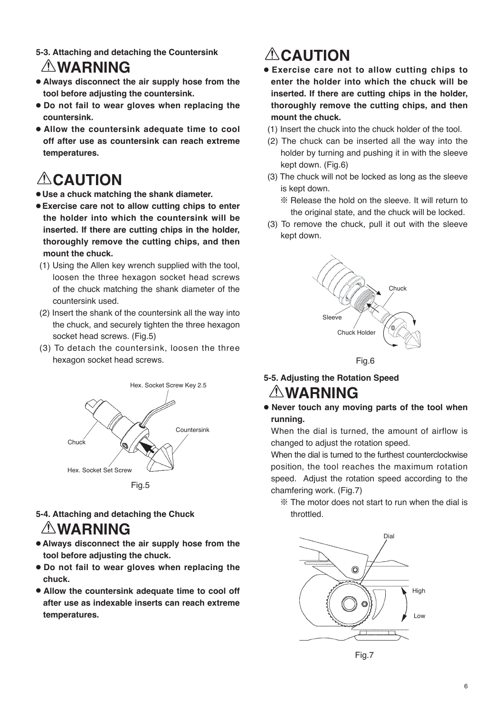**5-3. Attaching and detaching the Countersink**

## **WARNING**

- **Always disconnect the air supply hose from the tool before adjusting the countersink.**
- **Do not fail to wear gloves when replacing the countersink.**
- **Allow the countersink adequate time to cool off after use as countersink can reach extreme temperatures.**

# **ACAUTION**

- **Use a chuck matching the shank diameter.**
- **Exercise care not to allow cutting chips to enter the holder into which the countersink will be inserted. If there are cutting chips in the holder, thoroughly remove the cutting chips, and then mount the chuck.**
	- (1) Using the Allen key wrench supplied with the tool, loosen the three hexagon socket head screws of the chuck matching the shank diameter of the countersink used.
- (2) Insert the shank of the countersink all the way into the chuck, and securely tighten the three hexagon socket head screws. (Fig.5)
- (3) To detach the countersink, loosen the three hexagon socket head screws.



### **5-4. Attaching and detaching the Chuck**

## **WARNING**

- **Always disconnect the air supply hose from the tool before adjusting the chuck.**
- **Do not fail to wear gloves when replacing the chuck.**
- **Allow the countersink adequate time to cool off after use as indexable inserts can reach extreme temperatures.**

# **ACAUTION**

- **Exercise care not to allow cutting chips to enter the holder into which the chuck will be inserted. If there are cutting chips in the holder, thoroughly remove the cutting chips, and then mount the chuck.**
- (1) Insert the chuck into the chuck holder of the tool.
- (2) The chuck can be inserted all the way into the holder by turning and pushing it in with the sleeve kept down. (Fig.6)
- (3) The chuck will not be locked as long as the sleeve is kept down.
	- ※ Release the hold on the sleeve. It will return to the original state, and the chuck will be locked.
- (3) To remove the chuck, pull it out with the sleeve kept down.



Fig.6

## **5-5. Adjusting the Rotation Speed WARNING**

● **Never touch any moving parts of the tool when running.**

When the dial is turned, the amount of airflow is changed to adjust the rotation speed.

When the dial is turned to the furthest counterclockwise position, the tool reaches the maximum rotation speed. Adjust the rotation speed according to the chamfering work. (Fig.7)

※ The motor does not start to run when the dial is throttled.



6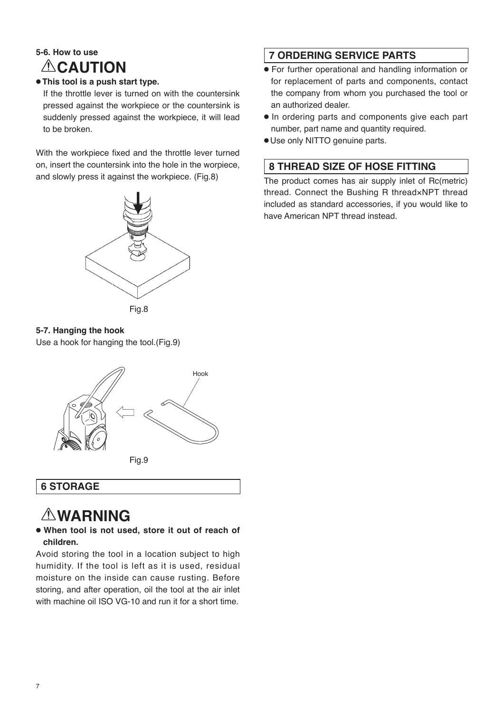## **5-6. How to use ACAUTION**

### ● **This tool is a push start type.**

If the throttle lever is turned on with the countersink pressed against the workpiece or the countersink is suddenly pressed against the workpiece, it will lead to be broken.

With the workpiece fixed and the throttle lever turned on, insert the countersink into the hole in the worpiece, and slowly press it against the workpiece. (Fig.8)



**5-7. Hanging the hook**

Use a hook for hanging the tool.(Fig.9)



## **6 STORAGE**

# **WARNING**

### ● **When tool is not used, store it out of reach of children.**

Avoid storing the tool in a location subject to high humidity. If the tool is left as it is used, residual moisture on the inside can cause rusting. Before storing, and after operation, oil the tool at the air inlet with machine oil ISO VG-10 and run it for a short time.

### **7 ORDERING SERVICE PARTS**

- For further operational and handling information or for replacement of parts and components, contact the company from whom you purchased the tool or an authorized dealer.
- In ordering parts and components give each part number, part name and quantity required.
- Use only NITTO genuine parts.

### **8 THREAD SIZE OF HOSE FITTING**

The product comes has air supply inlet of Rc(metric) thread. Connect the Bushing R thread×NPT thread included as standard accessories, if you would like to have American NPT thread instead.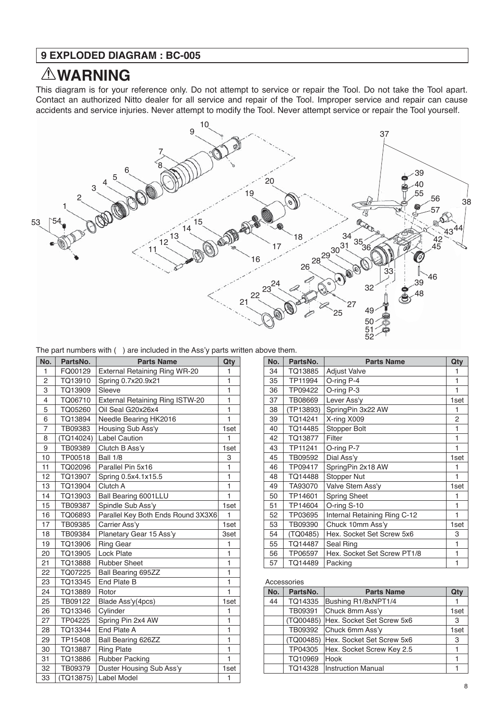### **9 EXPLODED DIAGRAM : BC-005**

## **WARNING**

This diagram is for your reference only. Do not attempt to service or repair the Tool. Do not take the Tool apart. Contact an authorized Nitto dealer for all service and repair of the Tool. Improper service and repair can cause accidents and service injuries. Never attempt to modify the Tool. Never attempt service or repair the Tool yourself.



| No.            | PartsNo.  | <b>Parts Name</b>                      | Qty                     |
|----------------|-----------|----------------------------------------|-------------------------|
| 1              | FQ00129   | External Retaining Ring WR-20          | 1                       |
| 2              | TQ13910   | Spring 0.7x20.9x21                     | 1                       |
| 3              | TQ13909   | Sleeve                                 | 1                       |
| $\overline{4}$ | TQ06710   | <b>External Retaining Ring ISTW-20</b> | 1                       |
| $\overline{5}$ | TQ05260   | Oil Seal G20x26x4                      | $\mathbf{1}$            |
| 6              | TQ13894   | Needle Bearing HK2016                  | 1                       |
| $\overline{7}$ | TB09383   | Housing Sub Ass'y                      | 1set                    |
| 8              | (TQ14024) | <b>Label Caution</b>                   | 1                       |
| 9              | TB09389   | Clutch B Ass'y                         | 1set                    |
| 10             | TP00518   | <b>Ball 1/8</b>                        | 3                       |
| 11             | TQ02096   | Parallel Pin 5x16                      | $\mathbf{1}$            |
| 12             | TQ13907   | Spring 0.5x4.1x15.5                    | $\mathbf{1}$            |
| 13             | TQ13904   | Clutch A                               | 1                       |
| 14             | TQ13903   | Ball Bearing 6001LLU                   | 1                       |
| 15             | TB09387   | Spindle Sub Ass'y                      | 1set                    |
| 16             | TQ06893   | Parallel Key Both Ends Round 3X3X6     | 1                       |
| 17             | TB09385   | Carrier Ass'y                          | 1set                    |
| 18             | TB09384   | Planetary Gear 15 Ass'y                | 3set                    |
| 19             | TQ13906   | <b>Ring Gear</b>                       | 1                       |
| 20             | TQ13905   | <b>Lock Plate</b>                      | $\overline{1}$          |
| 21             | TQ13888   | <b>Rubber Sheet</b>                    | $\overline{\mathbf{1}}$ |
| 22             | TQ07225   | Ball Bearing 695ZZ                     | 1                       |
| 23             | TQ13345   | End Plate B                            | $\mathbf{1}$            |
| 24             | TQ13889   | Rotor                                  | 1                       |
| 25             | TB09122   | Blade Ass'y(4pcs)                      | 1set                    |
| 26             | TQ13346   | Cylinder                               | 1                       |
| 27             | TP04225   | Spring Pin 2x4 AW                      | 1                       |
| 28             | TQ13344   | End Plate A                            | $\mathbf{1}$            |
| 29             | TP15408   | Ball Bearing 626ZZ                     | $\mathbf{1}$            |
| 30             | TQ13887   | <b>Ring Plate</b>                      | 1                       |
| 31             | TQ13886   | Rubber Packing                         | 1                       |
| 32             | TB09379   | Duster Housing Sub Ass'y               | 1set                    |
| 33             | (TQ13875) | <b>Label Model</b>                     | 1                       |

| No. | PartsNo.  | <b>Parts Name</b>            | Qty  |
|-----|-----------|------------------------------|------|
| 34  | TQ13885   | <b>Adjust Valve</b>          | 1    |
| 35  | TP11994   | O-ring P-4                   | 1    |
| 36  | TP09422   | O-ring P-3                   | 1    |
| 37  | TB08669   | Lever Ass'y                  | 1set |
| 38  | (TP13893) | SpringPin 3x22 AW            | 1    |
| 39  | TQ14241   | X-ring X009                  | 2    |
| 40  | TQ14485   | Stopper Bolt                 | 1    |
| 42  | TQ13877   | Filter                       | 1    |
| 43  | TP11241   | O-ring P-7                   | 1    |
| 45  | TB09592   | Dial Ass'y                   | 1set |
| 46  | TP09417   | SpringPin 2x18 AW            | 1    |
| 48  | TQ14488   | Stopper Nut                  | 1    |
| 49  | TA93070   | Valve Stem Ass'y             | 1set |
| 50  | TP14601   | <b>Spring Sheet</b>          | 1    |
| 51  | TP14604   | O-ring S-10                  | 1    |
| 52  | TP03695   | Internal Retaining Ring C-12 | 1    |
| 53  | TB09390   | Chuck 10mm Ass'y             | 1set |
| 54  | (TQ0485)  | Hex. Socket Set Screw 5x6    | 3    |
| 55  | TQ14487   | Seal Ring                    | 1    |
| 56  | TP06597   | Hex. Socket Set Screw PT1/8  | 1    |
| 57  | TQ14489   | Packing                      | 1    |

#### Accessories

| No. | PartsNo. | <b>Parts Name</b>                   | Qty  |
|-----|----------|-------------------------------------|------|
| 44  | TQ14335  | Bushing R1/8xNPT1/4                 |      |
|     | TB09391  | Chuck 8mm Ass'y                     | 1set |
|     |          | (TQ00485) Hex. Socket Set Screw 5x6 | 3    |
|     |          | TB09392 Chuck 6mm Ass'y             | 1set |
|     |          | (TQ00485) Hex. Socket Set Screw 5x6 | 3    |
|     | TP04305  | Hex. Socket Screw Key 2.5           |      |
|     | TQ10969  | Hook                                |      |
|     | TQ14328  | Instruction Manual                  |      |